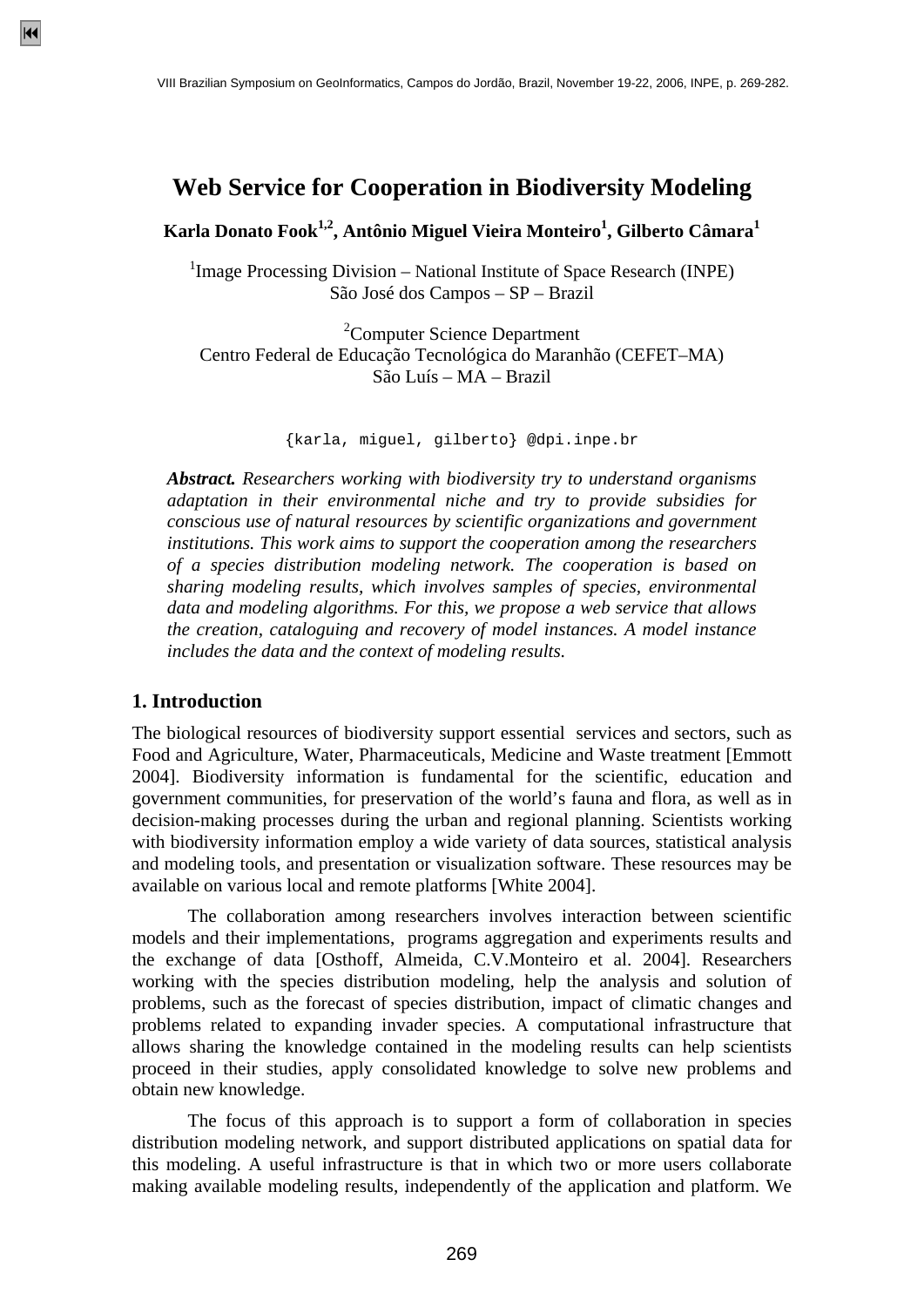# **Web Service for Cooperation in Biodiversity Modeling**

**Karla Donato Fook1,2, Antônio Miguel Vieira Monteiro1 , Gilberto Câmara<sup>1</sup>**

<sup>1</sup>Image Processing Division – National Institute of Space Research (INPE) São José dos Campos – SP – Brazil

<sup>2</sup>Computer Science Department Centro Federal de Educação Tecnológica do Maranhão (CEFET–MA) São Luís – MA – Brazil

{karla, miguel, gilberto} @dpi.inpe.br

*Abstract. Researchers working with biodiversity try to understand organisms adaptation in their environmental niche and try to provide subsidies for conscious use of natural resources by scientific organizations and government institutions. This work aims to support the cooperation among the researchers of a species distribution modeling network. The cooperation is based on sharing modeling results, which involves samples of species, environmental data and modeling algorithms. For this, we propose a web service that allows the creation, cataloguing and recovery of model instances. A model instance includes the data and the context of modeling results.* 

### **1. Introduction**

The biological resources of biodiversity support essential services and sectors, such as Food and Agriculture, Water, Pharmaceuticals, Medicine and Waste treatment [Emmott 2004]. Biodiversity information is fundamental for the scientific, education and government communities, for preservation of the world's fauna and flora, as well as in decision-making processes during the urban and regional planning. Scientists working with biodiversity information employ a wide variety of data sources, statistical analysis and modeling tools, and presentation or visualization software. These resources may be available on various local and remote platforms [White 2004].

 The collaboration among researchers involves interaction between scientific models and their implementations, programs aggregation and experiments results and the exchange of data [Osthoff, Almeida, C.V.Monteiro et al. 2004]. Researchers working with the species distribution modeling, help the analysis and solution of problems, such as the forecast of species distribution, impact of climatic changes and problems related to expanding invader species. A computational infrastructure that allows sharing the knowledge contained in the modeling results can help scientists proceed in their studies, apply consolidated knowledge to solve new problems and obtain new knowledge.

 The focus of this approach is to support a form of collaboration in species distribution modeling network, and support distributed applications on spatial data for this modeling. A useful infrastructure is that in which two or more users collaborate making available modeling results, independently of the application and platform. We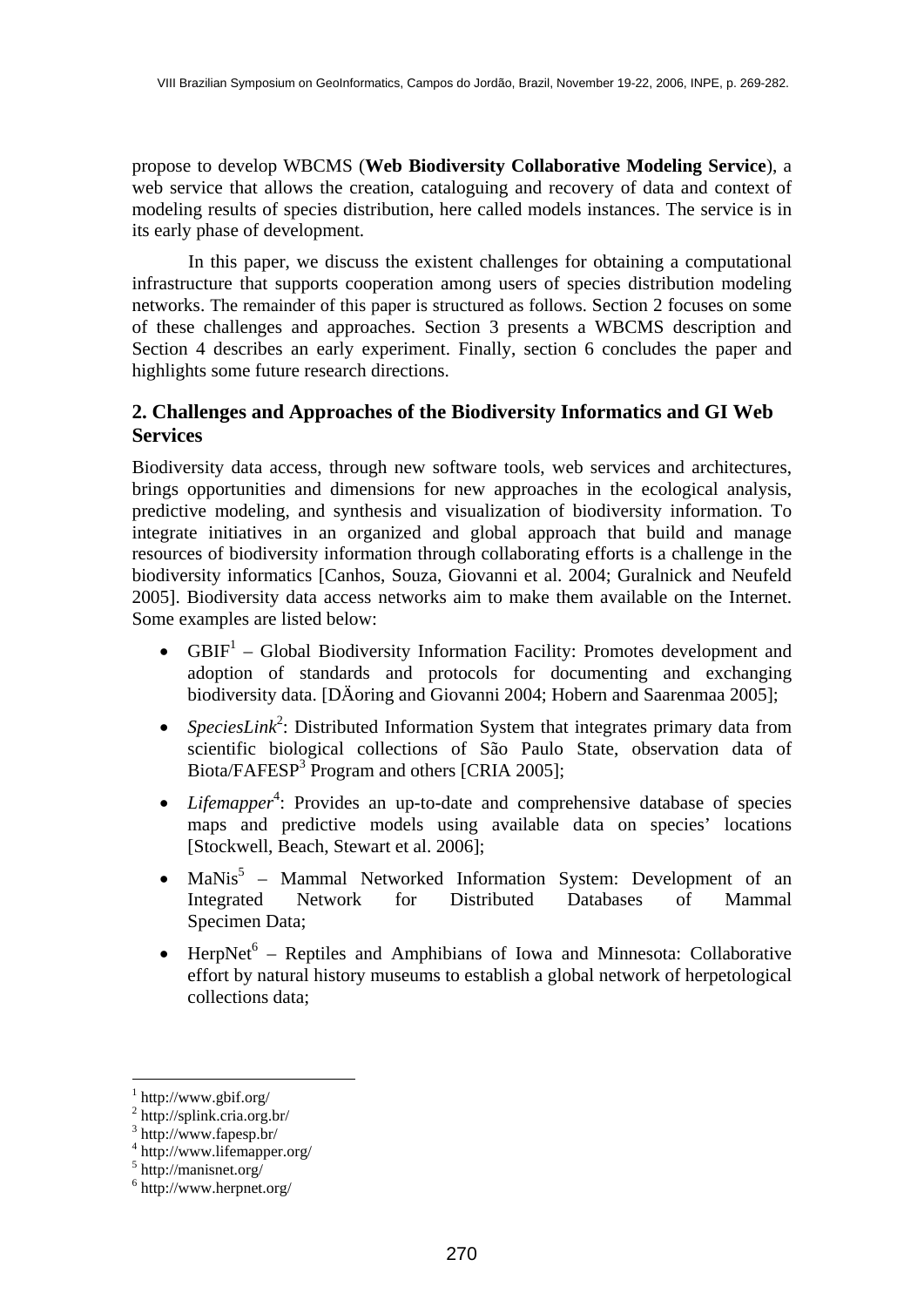propose to develop WBCMS (**Web Biodiversity Collaborative Modeling Service**), a web service that allows the creation, cataloguing and recovery of data and context of modeling results of species distribution, here called models instances. The service is in its early phase of development.

 In this paper, we discuss the existent challenges for obtaining a computational infrastructure that supports cooperation among users of species distribution modeling networks. The remainder of this paper is structured as follows. Section 2 focuses on some of these challenges and approaches. Section 3 presents a WBCMS description and Section 4 describes an early experiment. Finally, section 6 concludes the paper and highlights some future research directions.

# **2. Challenges and Approaches of the Biodiversity Informatics and GI Web Services**

Biodiversity data access, through new software tools, web services and architectures, brings opportunities and dimensions for new approaches in the ecological analysis, predictive modeling, and synthesis and visualization of biodiversity information. To integrate initiatives in an organized and global approach that build and manage resources of biodiversity information through collaborating efforts is a challenge in the biodiversity informatics [Canhos, Souza, Giovanni et al. 2004; Guralnick and Neufeld 2005]. Biodiversity data access networks aim to make them available on the Internet. Some examples are listed below:

- $GBIF<sup>1</sup>$  Global Biodiversity Information Facility: Promotes development and adoption of standards and protocols for documenting and exchanging biodiversity data. [DÄoring and Giovanni 2004; Hobern and Saarenmaa 2005];
- *SpeciesLink*<sup>2</sup>: Distributed Information System that integrates primary data from scientific biological collections of São Paulo State, observation data of Biota/FAFESP<sup>3</sup> Program and others [CRIA 2005];
- *Lifemapper*<sup>4</sup>: Provides an up-to-date and comprehensive database of species maps and predictive models using available data on species' locations [Stockwell, Beach, Stewart et al. 2006];
- $\text{Manis}^5$  Mammal Networked Information System: Development of an Integrated Network for Distributed Databases of Mammal Specimen Data;
- HerpNet $^6$  Reptiles and Amphibians of Iowa and Minnesota: Collaborative effort by natural history museums to establish a global network of herpetological collections data;

<sup>1</sup> http://www.gbif.org/

<sup>2</sup> http://splink.cria.org.br/

<sup>3</sup> http://www.fapesp.br/

<sup>4</sup> http://www.lifemapper.org/

<sup>5</sup> http://manisnet.org/

<sup>6</sup> http://www.herpnet.org/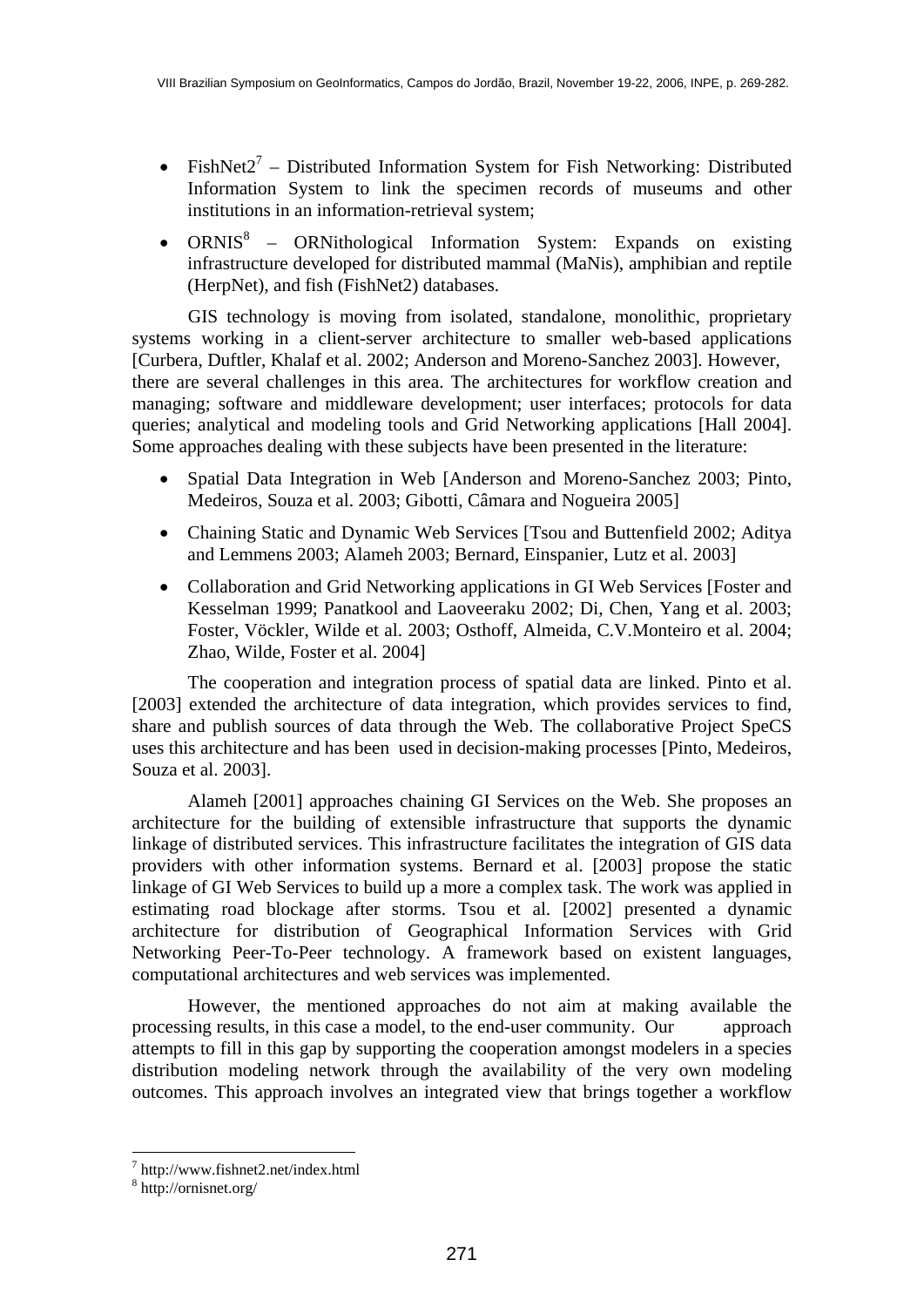- FishNet2<sup>7</sup> Distributed Information System for Fish Networking: Distributed Information System to link the specimen records of museums and other institutions in an information-retrieval system;
- ORNIS<sup>8</sup> ORNithological Information System: Expands on existing infrastructure developed for distributed mammal (MaNis), amphibian and reptile (HerpNet), and fish (FishNet2) databases.

 GIS technology is moving from isolated, standalone, monolithic, proprietary systems working in a client-server architecture to smaller web-based applications [Curbera, Duftler, Khalaf et al. 2002; Anderson and Moreno-Sanchez 2003]. However, there are several challenges in this area. The architectures for workflow creation and managing; software and middleware development; user interfaces; protocols for data queries; analytical and modeling tools and Grid Networking applications [Hall 2004]. Some approaches dealing with these subjects have been presented in the literature:

- Spatial Data Integration in Web [Anderson and Moreno-Sanchez 2003; Pinto, Medeiros, Souza et al. 2003; Gibotti, Câmara and Nogueira 2005]
- Chaining Static and Dynamic Web Services [Tsou and Buttenfield 2002; Aditya and Lemmens 2003; Alameh 2003; Bernard, Einspanier, Lutz et al. 2003]
- Collaboration and Grid Networking applications in GI Web Services [Foster and Kesselman 1999; Panatkool and Laoveeraku 2002; Di, Chen, Yang et al. 2003; Foster, Vöckler, Wilde et al. 2003; Osthoff, Almeida, C.V.Monteiro et al. 2004; Zhao, Wilde, Foster et al. 2004]

 The cooperation and integration process of spatial data are linked. Pinto et al. [2003] extended the architecture of data integration, which provides services to find, share and publish sources of data through the Web. The collaborative Project SpeCS uses this architecture and has been used in decision-making processes [Pinto, Medeiros, Souza et al. 2003].

 Alameh [2001] approaches chaining GI Services on the Web. She proposes an architecture for the building of extensible infrastructure that supports the dynamic linkage of distributed services. This infrastructure facilitates the integration of GIS data providers with other information systems. Bernard et al. [2003] propose the static linkage of GI Web Services to build up a more a complex task. The work was applied in estimating road blockage after storms. Tsou et al. [2002] presented a dynamic architecture for distribution of Geographical Information Services with Grid Networking Peer-To-Peer technology. A framework based on existent languages, computational architectures and web services was implemented.

 However, the mentioned approaches do not aim at making available the processing results, in this case a model, to the end-user community. Our approach attempts to fill in this gap by supporting the cooperation amongst modelers in a species distribution modeling network through the availability of the very own modeling outcomes. This approach involves an integrated view that brings together a workflow

<sup>7</sup> http://www.fishnet2.net/index.html

<sup>8</sup> http://ornisnet.org/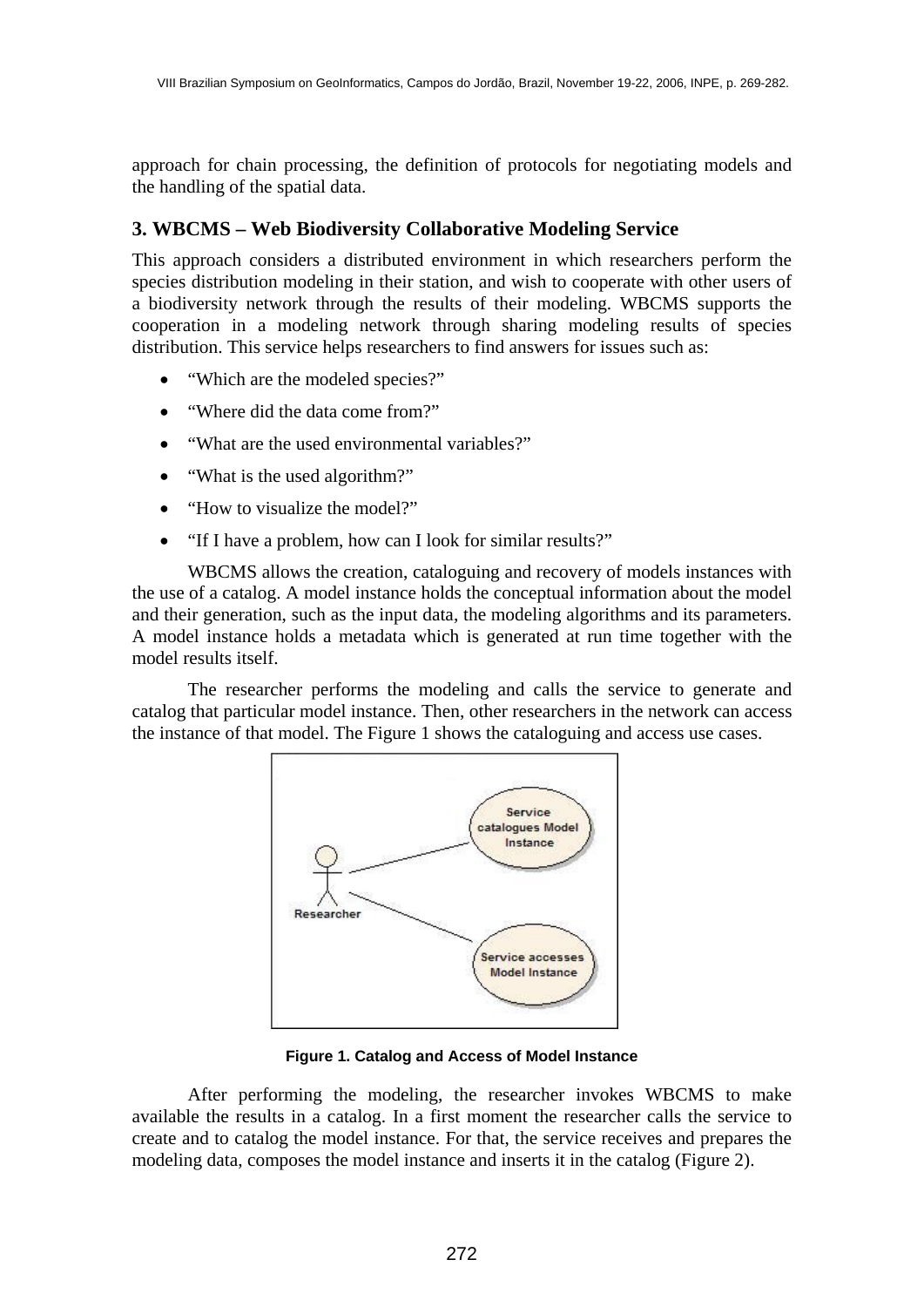approach for chain processing, the definition of protocols for negotiating models and the handling of the spatial data.

# **3. WBCMS – Web Biodiversity Collaborative Modeling Service**

This approach considers a distributed environment in which researchers perform the species distribution modeling in their station, and wish to cooperate with other users of a biodiversity network through the results of their modeling. WBCMS supports the cooperation in a modeling network through sharing modeling results of species distribution. This service helps researchers to find answers for issues such as:

- "Which are the modeled species?"
- "Where did the data come from?"
- "What are the used environmental variables?"
- "What is the used algorithm?"
- "How to visualize the model?"
- "If I have a problem, how can I look for similar results?"

 WBCMS allows the creation, cataloguing and recovery of models instances with the use of a catalog. A model instance holds the conceptual information about the model and their generation, such as the input data, the modeling algorithms and its parameters. A model instance holds a metadata which is generated at run time together with the model results itself.

 The researcher performs the modeling and calls the service to generate and catalog that particular model instance. Then, other researchers in the network can access the instance of that model. The Figure 1 shows the cataloguing and access use cases.



**Figure 1. Catalog and Access of Model Instance** 

After performing the modeling, the researcher invokes WBCMS to make available the results in a catalog. In a first moment the researcher calls the service to create and to catalog the model instance. For that, the service receives and prepares the modeling data, composes the model instance and inserts it in the catalog (Figure 2).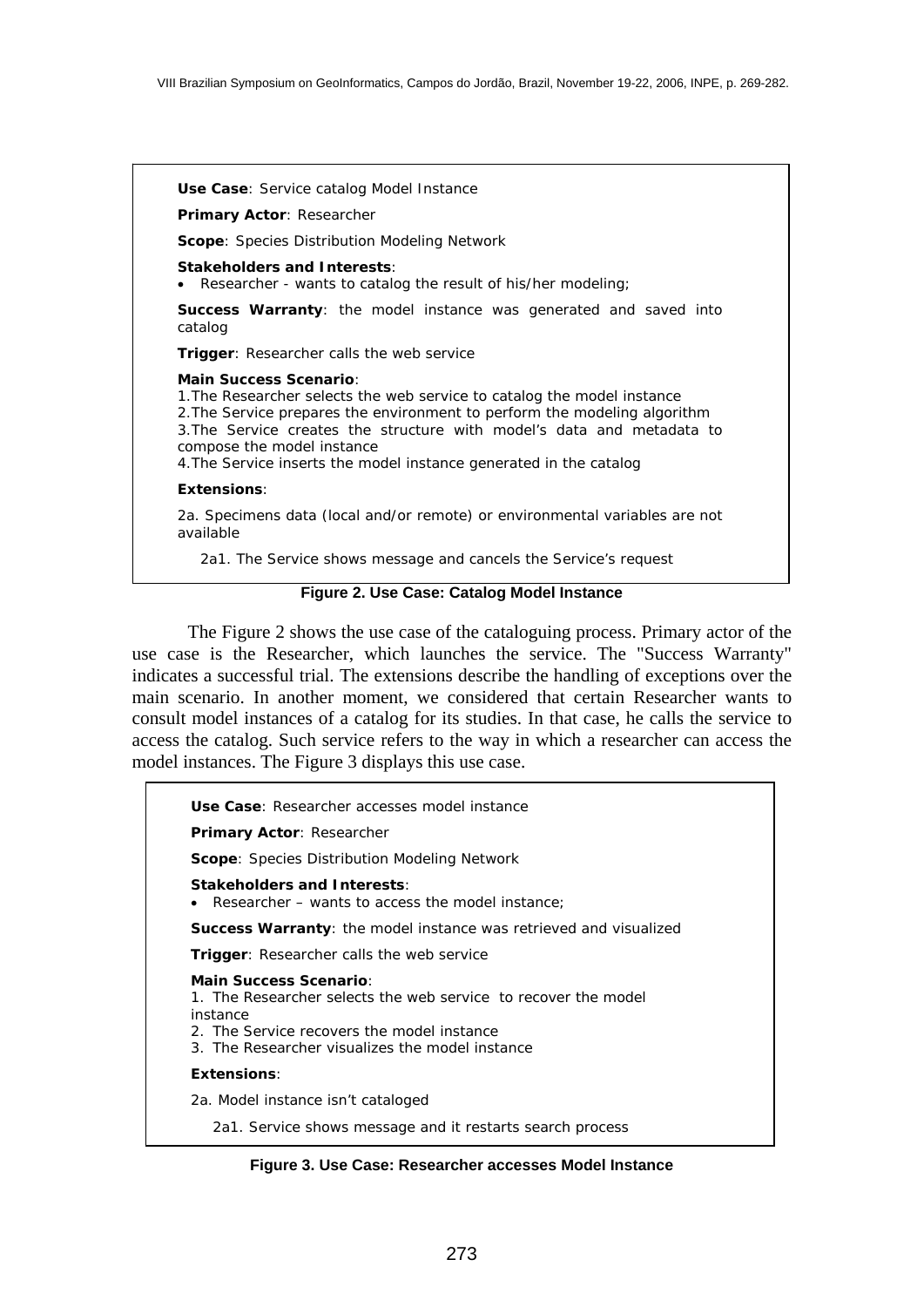**Use Case**: Service catalog Model Instance

**Primary Actor**: Researcher

**Scope**: Species Distribution Modeling Network

**Stakeholders and Interests**:

• Researcher - wants to catalog the result of his/her modeling;

**Success Warranty**: the model instance was generated and saved into catalog

**Trigger**: Researcher calls the web service

#### **Main Success Scenario**:

1.The Researcher selects the web service to catalog the model instance 2.The Service prepares the environment to perform the modeling algorithm 3.The Service creates the structure with model's data and metadata to compose the model instance 4.The Service inserts the model instance generated in the catalog

### **Extensions**:

2a. Specimens data (local and/or remote) or environmental variables are not available

2a1. The Service shows message and cancels the Service's request

### **Figure 2. Use Case: Catalog Model Instance**

The Figure 2 shows the use case of the cataloguing process. Primary actor of the use case is the Researcher, which launches the service. The "Success Warranty" indicates a successful trial. The extensions describe the handling of exceptions over the main scenario. In another moment, we considered that certain Researcher wants to consult model instances of a catalog for its studies. In that case, he calls the service to access the catalog. Such service refers to the way in which a researcher can access the model instances. The Figure 3 displays this use case.

**Use Case**: Researcher accesses model instance **Primary Actor**: Researcher **Scope**: Species Distribution Modeling Network **Stakeholders and Interests**: Researcher – wants to access the model instance; **Success Warranty**: the model instance was retrieved and visualized **Trigger**: Researcher calls the web service **Main Success Scenario**: 1. The Researcher selects the web service to recover the model instance 2. The Service recovers the model instance 3. The Researcher visualizes the model instance **Extensions**: 2a. Model instance isn't cataloged 2a1. Service shows message and it restarts search process

**Figure 3. Use Case: Researcher accesses Model Instance**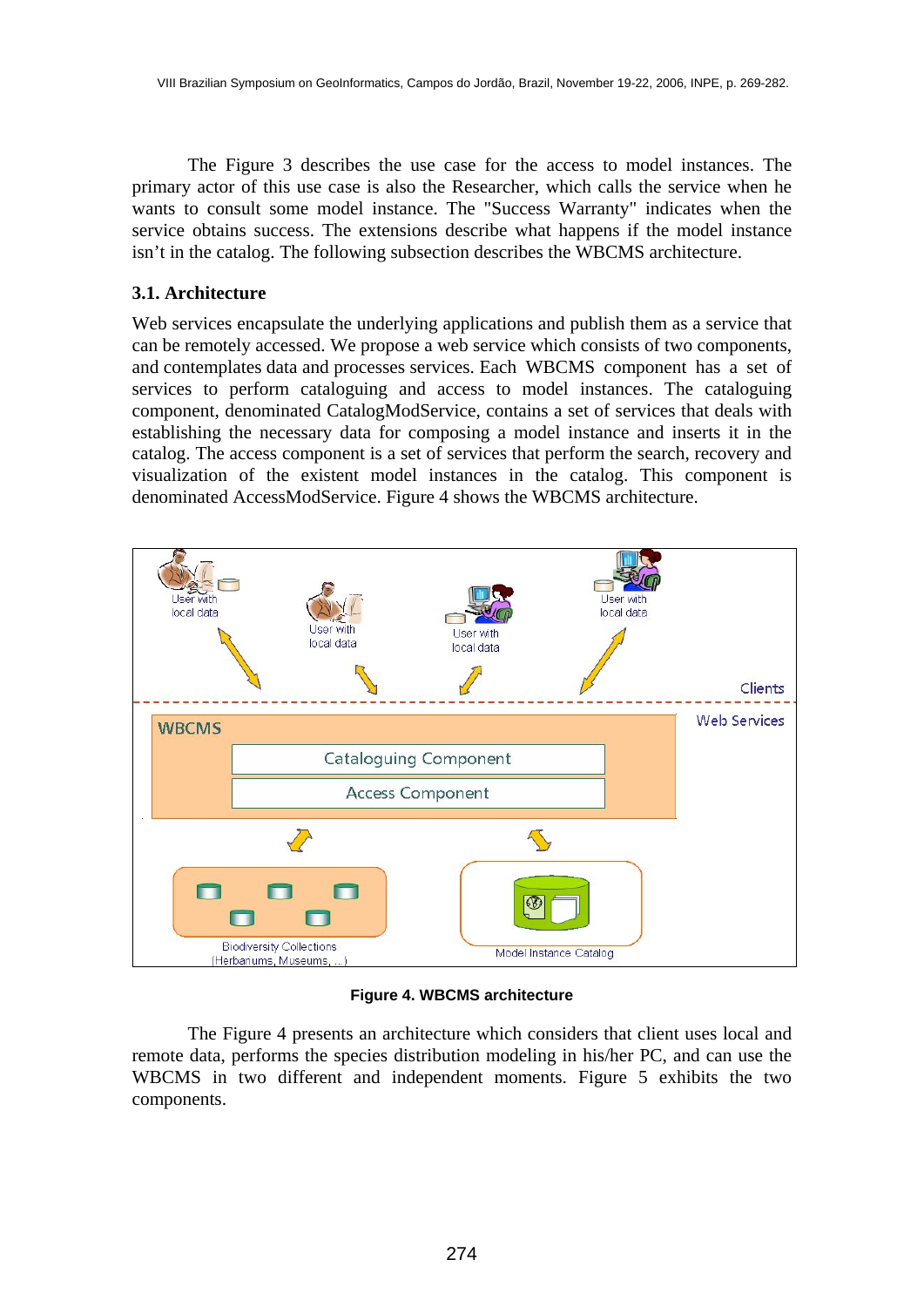The Figure 3 describes the use case for the access to model instances. The primary actor of this use case is also the Researcher, which calls the service when he wants to consult some model instance. The "Success Warranty" indicates when the service obtains success. The extensions describe what happens if the model instance isn't in the catalog. The following subsection describes the WBCMS architecture.

## **3.1. Architecture**

Web services encapsulate the underlying applications and publish them as a service that can be remotely accessed. We propose a web service which consists of two components, and contemplates data and processes services. Each WBCMS component has a set of services to perform cataloguing and access to model instances. The cataloguing component, denominated CatalogModService, contains a set of services that deals with establishing the necessary data for composing a model instance and inserts it in the catalog. The access component is a set of services that perform the search, recovery and visualization of the existent model instances in the catalog. This component is denominated AccessModService. Figure 4 shows the WBCMS architecture.



**Figure 4. WBCMS architecture** 

 The Figure 4 presents an architecture which considers that client uses local and remote data, performs the species distribution modeling in his/her PC, and can use the WBCMS in two different and independent moments. Figure 5 exhibits the two components.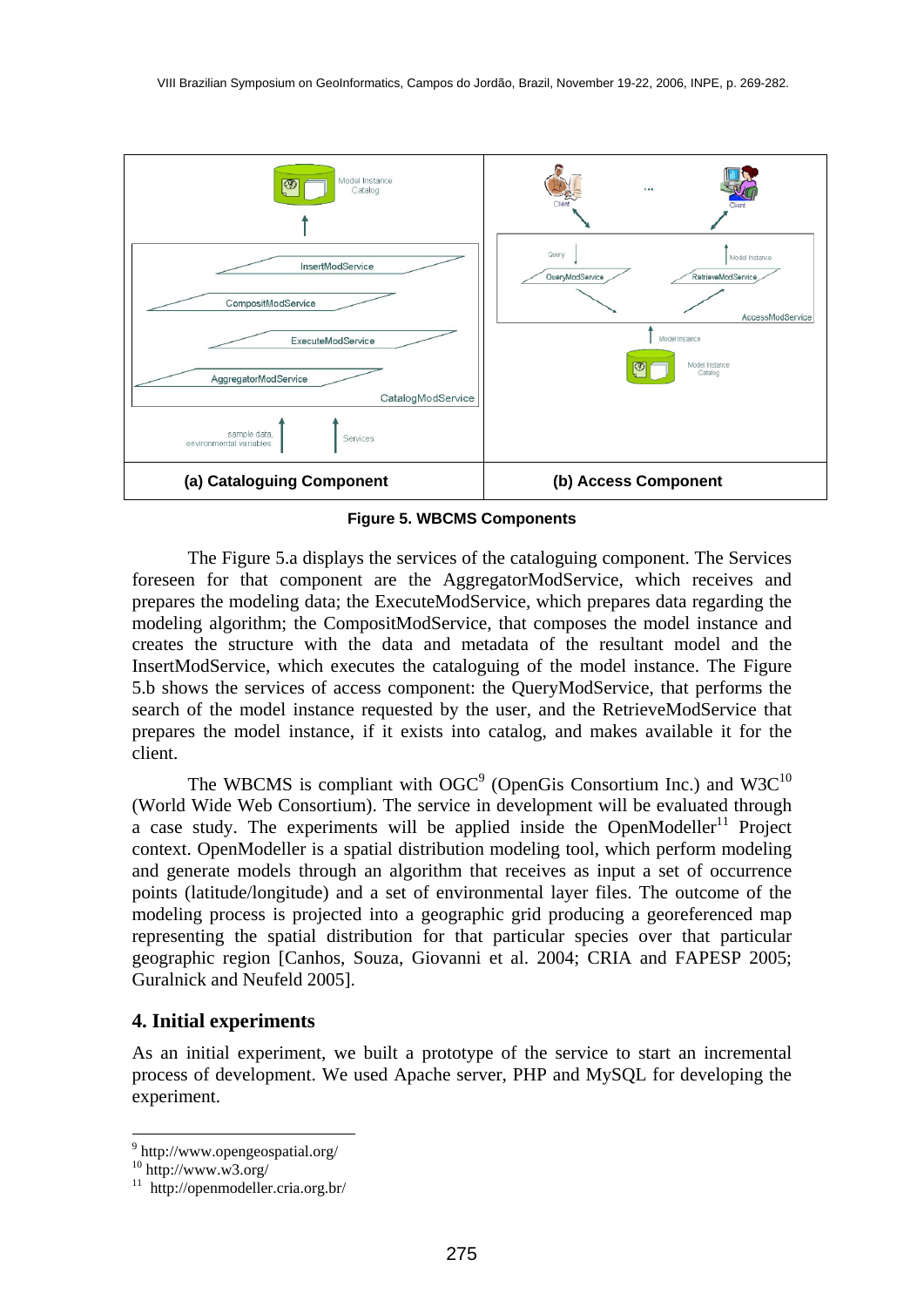

**Figure 5. WBCMS Components** 

The Figure 5.a displays the services of the cataloguing component. The Services foreseen for that component are the AggregatorModService, which receives and prepares the modeling data; the ExecuteModService, which prepares data regarding the modeling algorithm; the CompositModService, that composes the model instance and creates the structure with the data and metadata of the resultant model and the InsertModService, which executes the cataloguing of the model instance. The Figure 5.b shows the services of access component: the QueryModService, that performs the search of the model instance requested by the user, and the RetrieveModService that prepares the model instance, if it exists into catalog, and makes available it for the client.

The WBCMS is compliant with OGC<sup>9</sup> (OpenGis Consortium Inc.) and W3C<sup>10</sup> (World Wide Web Consortium). The service in development will be evaluated through a case study. The experiments will be applied inside the OpenModeller<sup>11</sup> Project context. OpenModeller is a spatial distribution modeling tool, which perform modeling and generate models through an algorithm that receives as input a set of occurrence points (latitude/longitude) and a set of environmental layer files. The outcome of the modeling process is projected into a geographic grid producing a georeferenced map representing the spatial distribution for that particular species over that particular geographic region [Canhos, Souza, Giovanni et al. 2004; CRIA and FAPESP 2005; Guralnick and Neufeld 2005].

## **4. Initial experiments**

As an initial experiment, we built a prototype of the service to start an incremental process of development. We used Apache server, PHP and MySQL for developing the experiment.

<sup>9</sup> http://www.opengeospatial.org/

<sup>10</sup> http://www.w3.org/

 $11$  http://openmodeller.cria.org.br/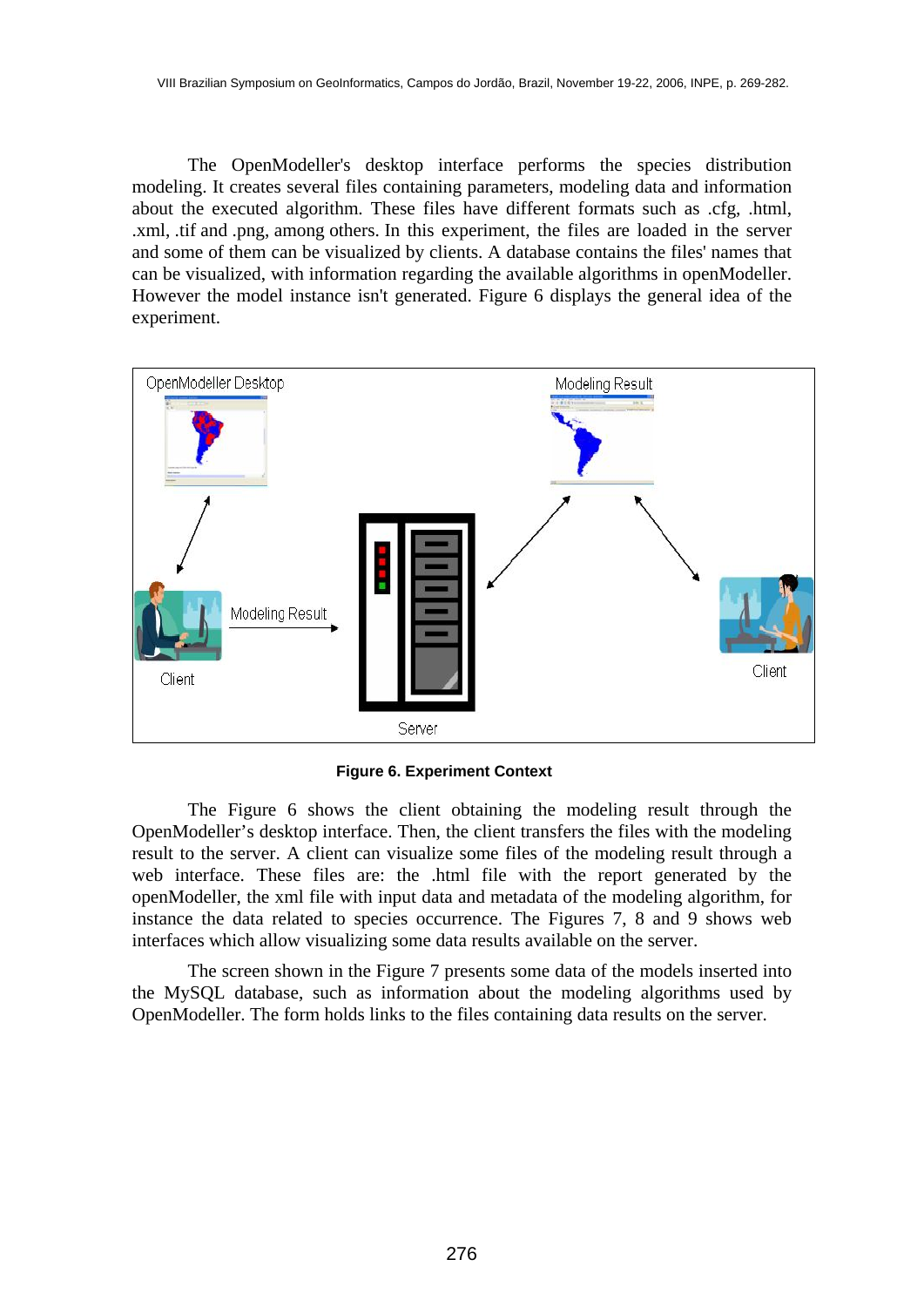The OpenModeller's desktop interface performs the species distribution modeling. It creates several files containing parameters, modeling data and information about the executed algorithm. These files have different formats such as .cfg, .html, .xml, .tif and .png, among others. In this experiment, the files are loaded in the server and some of them can be visualized by clients. A database contains the files' names that can be visualized, with information regarding the available algorithms in openModeller. However the model instance isn't generated. Figure 6 displays the general idea of the experiment.



**Figure 6. Experiment Context** 

 The Figure 6 shows the client obtaining the modeling result through the OpenModeller's desktop interface. Then, the client transfers the files with the modeling result to the server. A client can visualize some files of the modeling result through a web interface. These files are: the .html file with the report generated by the openModeller, the xml file with input data and metadata of the modeling algorithm, for instance the data related to species occurrence. The Figures 7, 8 and 9 shows web interfaces which allow visualizing some data results available on the server.

 The screen shown in the Figure 7 presents some data of the models inserted into the MySQL database, such as information about the modeling algorithms used by OpenModeller. The form holds links to the files containing data results on the server.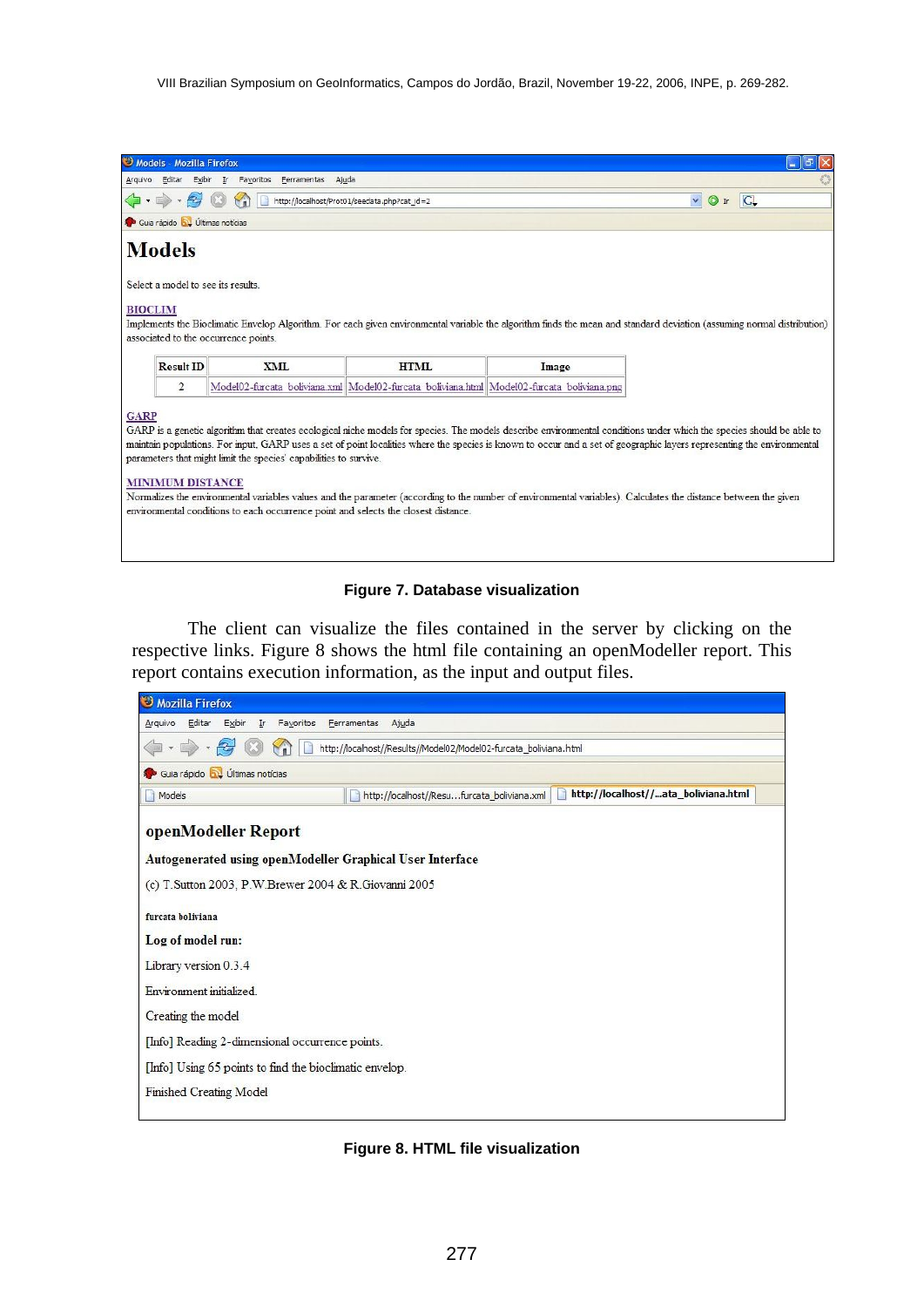|                                                                                                                                                                                          | Models - Mozilla Firefox               |                                   |                                                                                            |       | 団                                               |  |
|------------------------------------------------------------------------------------------------------------------------------------------------------------------------------------------|----------------------------------------|-----------------------------------|--------------------------------------------------------------------------------------------|-------|-------------------------------------------------|--|
| Arquivo                                                                                                                                                                                  | Editar Exibir In                       | Favoritos<br>Ferramentas<br>Ajuda |                                                                                            |       |                                                 |  |
| http://localhost/Prot01/seedata.php?cat_id=2                                                                                                                                             |                                        |                                   |                                                                                            |       | $\overline{\mathbf{v}}$<br> C <br>$\bigcirc$ Ir |  |
|                                                                                                                                                                                          | Guia rápido <b>bu</b> Últimas notícias |                                   |                                                                                            |       |                                                 |  |
|                                                                                                                                                                                          | <b>Models</b>                          |                                   |                                                                                            |       |                                                 |  |
|                                                                                                                                                                                          | Select a model to see its results      |                                   |                                                                                            |       |                                                 |  |
|                                                                                                                                                                                          |                                        |                                   |                                                                                            |       |                                                 |  |
| <b>BIOCLIM</b><br>Implements the Bioclimatic Envelop Algorithm. For each given environmental variable the algorithm finds the mean and standard deviation (assuming normal distribution) |                                        |                                   |                                                                                            |       |                                                 |  |
| associated to the occurrence points.                                                                                                                                                     |                                        |                                   |                                                                                            |       |                                                 |  |
|                                                                                                                                                                                          |                                        |                                   |                                                                                            |       |                                                 |  |
|                                                                                                                                                                                          | <b>Result ID</b>                       | XML                               | HTML                                                                                       | Image |                                                 |  |
|                                                                                                                                                                                          | $\overline{2}$                         |                                   | Model02-furcata boliviana.xml Model02-furcata boliviana.html Model02-furcata boliviana.png |       |                                                 |  |
| <b>GARP</b>                                                                                                                                                                              |                                        |                                   |                                                                                            |       |                                                 |  |
| GARP is a genetic algorithm that creates ecological niche models for species. The models describe environmental conditions under which the species should be able to                     |                                        |                                   |                                                                                            |       |                                                 |  |
| maintain populations. For input, GARP uses a set of point localities where the species is known to occur and a set of geographic layers representing the environmental                   |                                        |                                   |                                                                                            |       |                                                 |  |
| parameters that might limit the species' capabilities to survive.                                                                                                                        |                                        |                                   |                                                                                            |       |                                                 |  |
| <b>MINIMUM DISTANCE</b>                                                                                                                                                                  |                                        |                                   |                                                                                            |       |                                                 |  |
| Normalizes the environmental variables values and the parameter (according to the number of environmental variables). Calculates the distance between the given                          |                                        |                                   |                                                                                            |       |                                                 |  |
| environmental conditions to each occurrence point and selects the closest distance.                                                                                                      |                                        |                                   |                                                                                            |       |                                                 |  |
|                                                                                                                                                                                          |                                        |                                   |                                                                                            |       |                                                 |  |
|                                                                                                                                                                                          |                                        |                                   |                                                                                            |       |                                                 |  |

### **Figure 7. Database visualization**

 The client can visualize the files contained in the server by clicking on the respective links. Figure 8 shows the html file containing an openModeller report. This report contains execution information, as the input and output files.



### **Figure 8. HTML file visualization**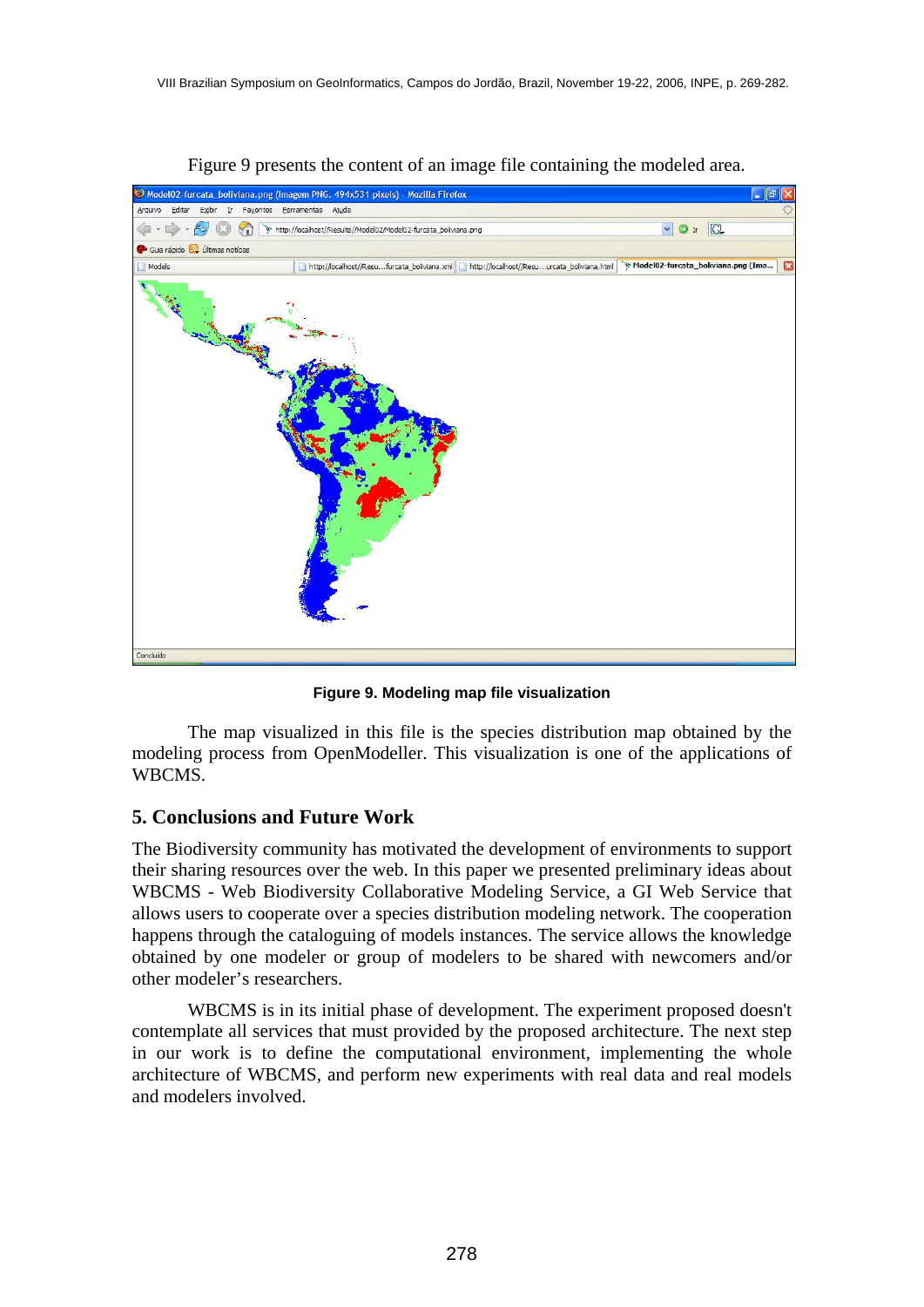

Figure 9 presents the content of an image file containing the modeled area.

**Figure 9. Modeling map file visualization** 

 The map visualized in this file is the species distribution map obtained by the modeling process from OpenModeller. This visualization is one of the applications of WBCMS.

## **5. Conclusions and Future Work**

The Biodiversity community has motivated the development of environments to support their sharing resources over the web. In this paper we presented preliminary ideas about WBCMS - Web Biodiversity Collaborative Modeling Service, a GI Web Service that allows users to cooperate over a species distribution modeling network. The cooperation happens through the cataloguing of models instances. The service allows the knowledge obtained by one modeler or group of modelers to be shared with newcomers and/or other modeler's researchers.

 WBCMS is in its initial phase of development. The experiment proposed doesn't contemplate all services that must provided by the proposed architecture. The next step in our work is to define the computational environment, implementing the whole architecture of WBCMS, and perform new experiments with real data and real models and modelers involved.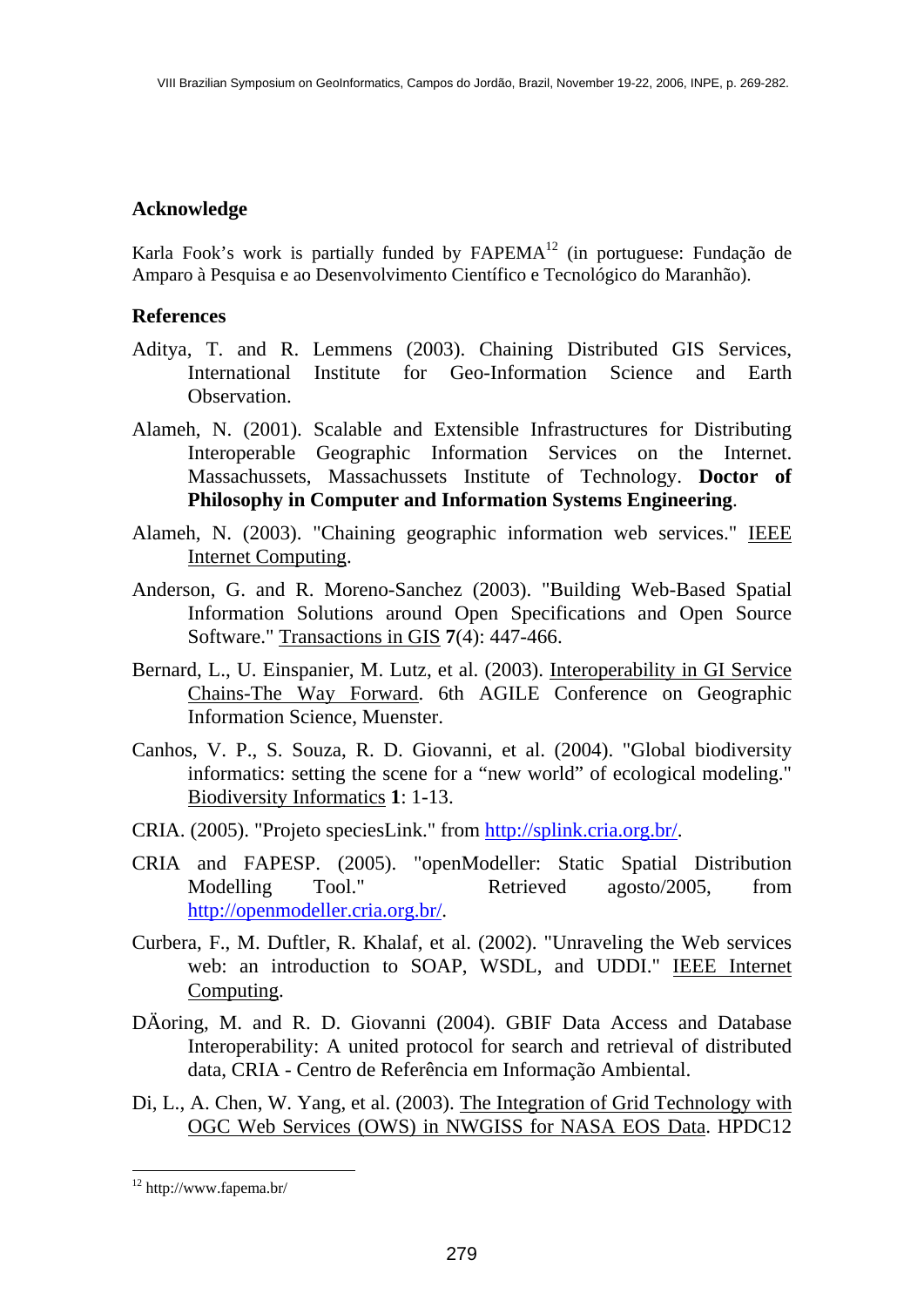# **Acknowledge**

Karla Fook's work is partially funded by FAPEMA<sup>12</sup> (in portuguese: Fundação de Amparo à Pesquisa e ao Desenvolvimento Científico e Tecnológico do Maranhão).

### **References**

- Aditya, T. and R. Lemmens (2003). Chaining Distributed GIS Services, International Institute for Geo-Information Science and Earth Observation.
- Alameh, N. (2001). Scalable and Extensible Infrastructures for Distributing Interoperable Geographic Information Services on the Internet. Massachussets, Massachussets Institute of Technology. **Doctor of Philosophy in Computer and Information Systems Engineering**.
- Alameh, N. (2003). "Chaining geographic information web services." IEEE Internet Computing.
- Anderson, G. and R. Moreno-Sanchez (2003). "Building Web-Based Spatial Information Solutions around Open Specifications and Open Source Software." Transactions in GIS **7**(4): 447-466.
- Bernard, L., U. Einspanier, M. Lutz, et al. (2003). Interoperability in GI Service Chains-The Way Forward. 6th AGILE Conference on Geographic Information Science, Muenster.
- Canhos, V. P., S. Souza, R. D. Giovanni, et al. (2004). "Global biodiversity informatics: setting the scene for a "new world" of ecological modeling." Biodiversity Informatics **1**: 1-13.
- CRIA. (2005). "Projeto speciesLink." from http://splink.cria.org.br/.
- CRIA and FAPESP. (2005). "openModeller: Static Spatial Distribution Modelling Tool." Retrieved agosto/2005, from http://openmodeller.cria.org.br/.
- Curbera, F., M. Duftler, R. Khalaf, et al. (2002). "Unraveling the Web services web: an introduction to SOAP, WSDL, and UDDI." IEEE Internet Computing.
- DÄoring, M. and R. D. Giovanni (2004). GBIF Data Access and Database Interoperability: A united protocol for search and retrieval of distributed data, CRIA - Centro de Referência em Informação Ambiental.
- Di, L., A. Chen, W. Yang, et al. (2003). The Integration of Grid Technology with OGC Web Services (OWS) in NWGISS for NASA EOS Data. HPDC12

<sup>12</sup> http://www.fapema.br/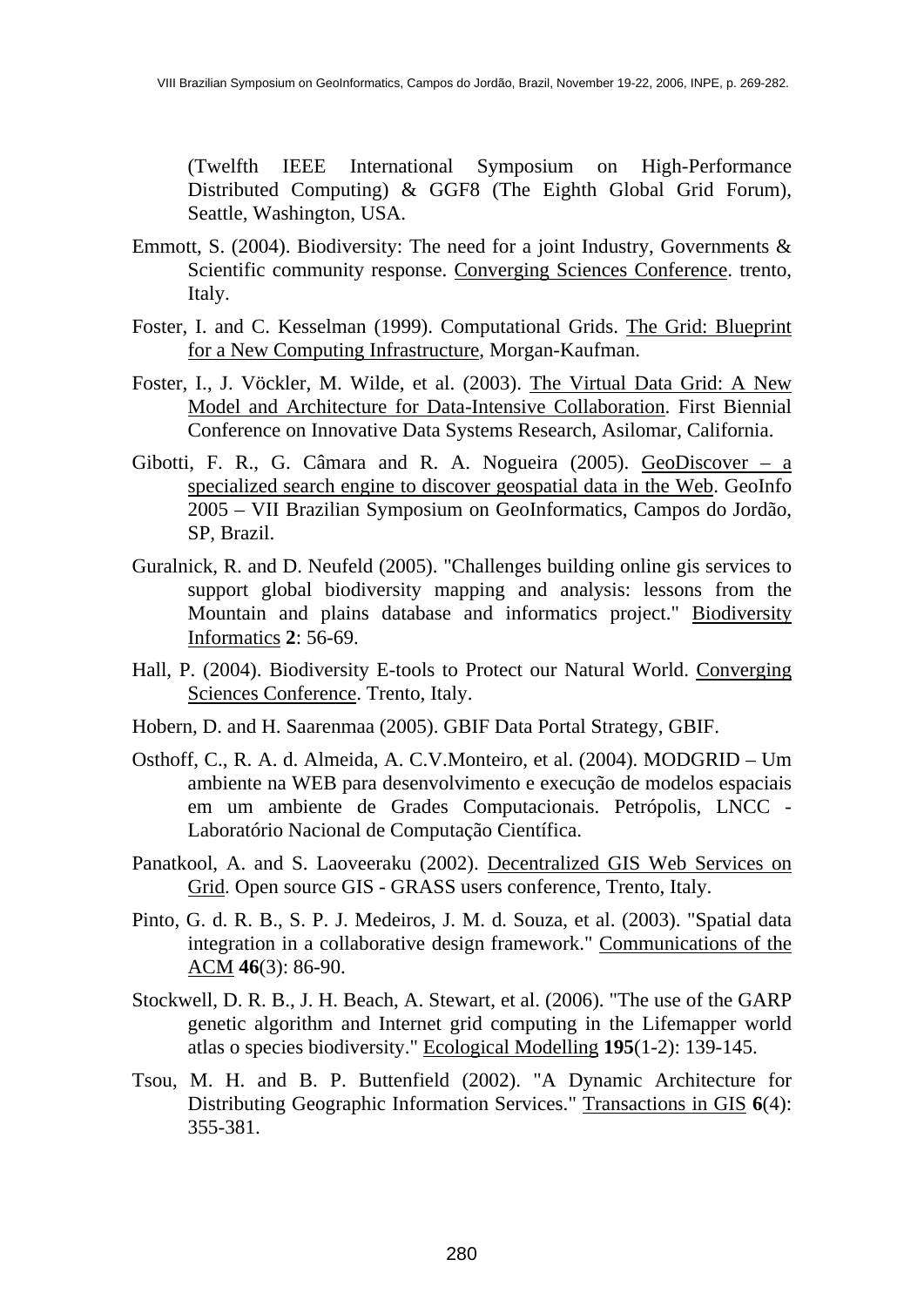(Twelfth IEEE International Symposium on High-Performance Distributed Computing) & GGF8 (The Eighth Global Grid Forum), Seattle, Washington, USA.

- Emmott, S. (2004). Biodiversity: The need for a joint Industry, Governments & Scientific community response. Converging Sciences Conference. trento, Italy.
- Foster, I. and C. Kesselman (1999). Computational Grids. The Grid: Blueprint for a New Computing Infrastructure, Morgan-Kaufman.
- Foster, I., J. Vöckler, M. Wilde, et al. (2003). The Virtual Data Grid: A New Model and Architecture for Data-Intensive Collaboration. First Biennial Conference on Innovative Data Systems Research, Asilomar, California.
- Gibotti, F. R., G. Câmara and R. A. Nogueira (2005). GeoDiscover a specialized search engine to discover geospatial data in the Web. GeoInfo 2005 – VII Brazilian Symposium on GeoInformatics, Campos do Jordão, SP, Brazil.
- Guralnick, R. and D. Neufeld (2005). "Challenges building online gis services to support global biodiversity mapping and analysis: lessons from the Mountain and plains database and informatics project." Biodiversity Informatics **2**: 56-69.
- Hall, P. (2004). Biodiversity E-tools to Protect our Natural World. Converging Sciences Conference. Trento, Italy.
- Hobern, D. and H. Saarenmaa (2005). GBIF Data Portal Strategy, GBIF.
- Osthoff, C., R. A. d. Almeida, A. C.V.Monteiro, et al. (2004). MODGRID Um ambiente na WEB para desenvolvimento e execução de modelos espaciais em um ambiente de Grades Computacionais. Petrópolis, LNCC - Laboratório Nacional de Computação Científica.
- Panatkool, A. and S. Laoveeraku (2002). Decentralized GIS Web Services on Grid. Open source GIS - GRASS users conference, Trento, Italy.
- Pinto, G. d. R. B., S. P. J. Medeiros, J. M. d. Souza, et al. (2003). "Spatial data integration in a collaborative design framework." Communications of the ACM **46**(3): 86-90.
- Stockwell, D. R. B., J. H. Beach, A. Stewart, et al. (2006). "The use of the GARP genetic algorithm and Internet grid computing in the Lifemapper world atlas o species biodiversity." Ecological Modelling **195**(1-2): 139-145.
- Tsou, M. H. and B. P. Buttenfield (2002). "A Dynamic Architecture for Distributing Geographic Information Services." Transactions in GIS **6**(4): 355-381.